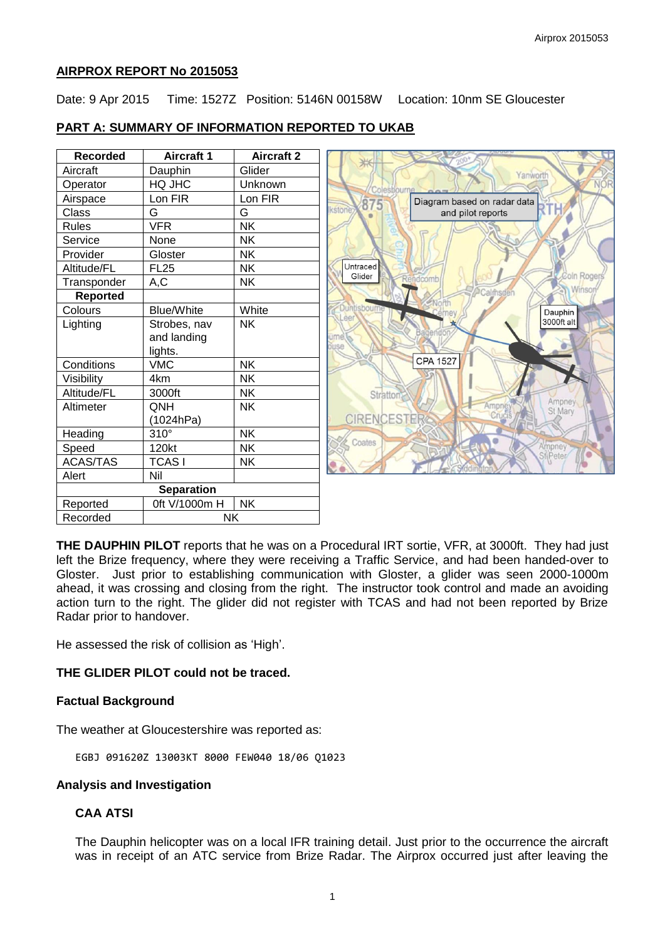### **AIRPROX REPORT No 2015053**

Date: 9 Apr 2015 Time: 1527Z Position: 5146N 00158W Location: 10nm SE Gloucester

# **PART A: SUMMARY OF INFORMATION REPORTED TO UKAB**

| <b>Recorded</b>   | Aircraft 1        | <b>Aircraft 2</b> |                                     |
|-------------------|-------------------|-------------------|-------------------------------------|
| Aircraft          | Dauphin           | Glider            | Yanworth                            |
| Operator          | HQ JHC            | Unknown           | Colesbourr                          |
| Airspace          | Lon FIR           | Lon FIR           | Diagram based on radar data<br>875  |
| Class             | G                 | G                 | <b>Ikstone</b><br>and pilot reports |
| <b>Rules</b>      | <b>VFR</b>        | <b>NK</b>         |                                     |
| Service           | None              | <b>NK</b>         |                                     |
| Provider          | Gloster           | <b>NK</b>         |                                     |
| Altitude/FL       | <b>FL25</b>       | NΚ                | Untraced                            |
| Transponder       | A,C               | <b>NK</b>         | Coln Rogers<br>Glider<br>Rendcomb   |
| <b>Reported</b>   |                   |                   | Winsor<br>Calmsden<br>Jorth         |
| Colours           | <b>Blue/White</b> | White             | Duntisbourne<br>Dauphin             |
| Lighting          | Strobes, nav      | <b>NK</b>         | .001<br>3000ft alt                  |
|                   | and landing       |                   | ume b                               |
|                   | lights.           |                   | ouse                                |
| Conditions        | <b>VMC</b>        | <b>NK</b>         | <b>CPA 1527</b>                     |
| Visibility        | 4km               | <b>NK</b>         |                                     |
| Altitude/FL       | 3000ft            | <b>NK</b>         | <b>Stratton</b>                     |
| Altimeter         | QNH               | NK                | Ampney<br>Ampne<br>St Mary          |
|                   | (1024hPa)         |                   | <b>CIRENCESTER</b>                  |
| Heading           | $310^\circ$       | <b>NK</b>         |                                     |
| Speed             | 120kt             | <b>NK</b>         | Coates<br>Ampney                    |
| <b>ACAS/TAS</b>   | <b>TCASI</b>      | <b>NK</b>         | StiPeter                            |
| Alert             | Nil               |                   |                                     |
| <b>Separation</b> |                   |                   |                                     |
| Reported          | 0ft V/1000m H     | <b>NK</b>         |                                     |

**THE DAUPHIN PILOT** reports that he was on a Procedural IRT sortie, VFR, at 3000ft. They had just left the Brize frequency, where they were receiving a Traffic Service, and had been handed-over to Gloster. Just prior to establishing communication with Gloster, a glider was seen 2000-1000m ahead, it was crossing and closing from the right. The instructor took control and made an avoiding action turn to the right. The glider did not register with TCAS and had not been reported by Brize Radar prior to handover.

He assessed the risk of collision as 'High'.

Recorded **NK** 

#### **THE GLIDER PILOT could not be traced.**

#### **Factual Background**

The weather at Gloucestershire was reported as:

EGBJ 091620Z 13003KT 8000 FEW040 18/06 Q1023

### **Analysis and Investigation**

# **CAA ATSI**

The Dauphin helicopter was on a local IFR training detail. Just prior to the occurrence the aircraft was in receipt of an ATC service from Brize Radar. The Airprox occurred just after leaving the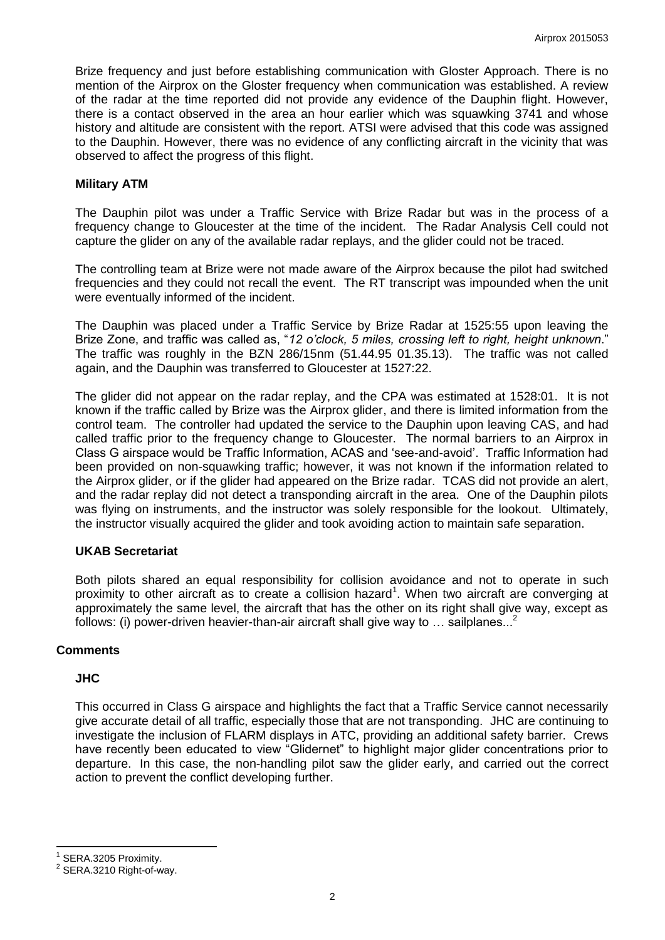Brize frequency and just before establishing communication with Gloster Approach. There is no mention of the Airprox on the Gloster frequency when communication was established. A review of the radar at the time reported did not provide any evidence of the Dauphin flight. However, there is a contact observed in the area an hour earlier which was squawking 3741 and whose history and altitude are consistent with the report. ATSI were advised that this code was assigned to the Dauphin. However, there was no evidence of any conflicting aircraft in the vicinity that was observed to affect the progress of this flight.

### **Military ATM**

The Dauphin pilot was under a Traffic Service with Brize Radar but was in the process of a frequency change to Gloucester at the time of the incident. The Radar Analysis Cell could not capture the glider on any of the available radar replays, and the glider could not be traced.

The controlling team at Brize were not made aware of the Airprox because the pilot had switched frequencies and they could not recall the event. The RT transcript was impounded when the unit were eventually informed of the incident.

The Dauphin was placed under a Traffic Service by Brize Radar at 1525:55 upon leaving the Brize Zone, and traffic was called as, "*12 o'clock, 5 miles, crossing left to right, height unknown*." The traffic was roughly in the BZN 286/15nm (51.44.95 01.35.13). The traffic was not called again, and the Dauphin was transferred to Gloucester at 1527:22.

The glider did not appear on the radar replay, and the CPA was estimated at 1528:01. It is not known if the traffic called by Brize was the Airprox glider, and there is limited information from the control team. The controller had updated the service to the Dauphin upon leaving CAS, and had called traffic prior to the frequency change to Gloucester. The normal barriers to an Airprox in Class G airspace would be Traffic Information, ACAS and 'see-and-avoid'. Traffic Information had been provided on non-squawking traffic; however, it was not known if the information related to the Airprox glider, or if the glider had appeared on the Brize radar. TCAS did not provide an alert, and the radar replay did not detect a transponding aircraft in the area. One of the Dauphin pilots was flying on instruments, and the instructor was solely responsible for the lookout. Ultimately, the instructor visually acquired the glider and took avoiding action to maintain safe separation.

#### **UKAB Secretariat**

Both pilots shared an equal responsibility for collision avoidance and not to operate in such proximity to other aircraft as to create a collision hazard<sup>1</sup>. When two aircraft are converging at approximately the same level, the aircraft that has the other on its right shall give way, except as follows: (i) power-driven heavier-than-air aircraft shall give way to  $\ldots$  sailplanes...<sup>2</sup>

# **Comments**

#### **JHC**

This occurred in Class G airspace and highlights the fact that a Traffic Service cannot necessarily give accurate detail of all traffic, especially those that are not transponding. JHC are continuing to investigate the inclusion of FLARM displays in ATC, providing an additional safety barrier. Crews have recently been educated to view "Glidernet" to highlight major glider concentrations prior to departure. In this case, the non-handling pilot saw the glider early, and carried out the correct action to prevent the conflict developing further.

 $\overline{\phantom{a}}$ 

<sup>1</sup> SERA.3205 Proximity.

<sup>2</sup> SERA.3210 Right-of-way.